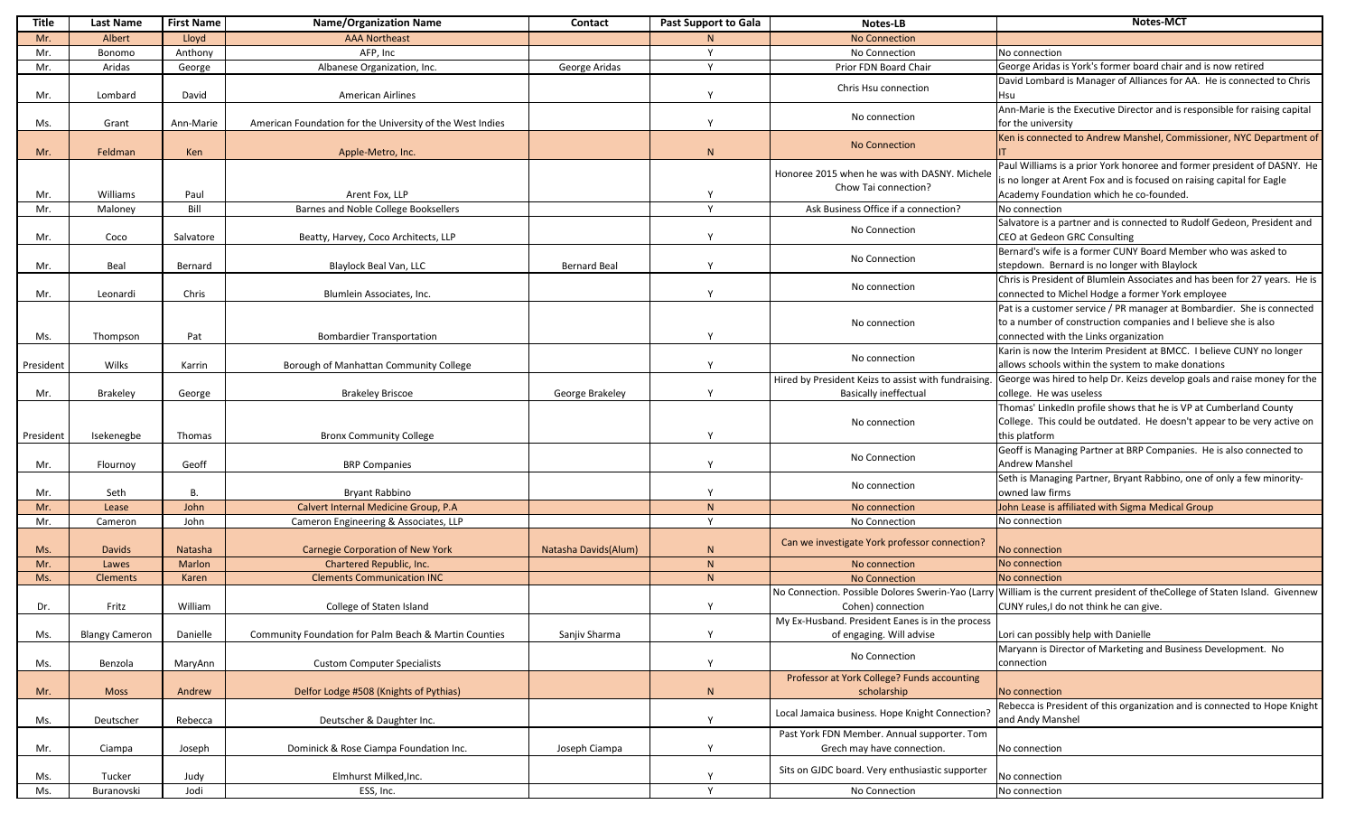| Title     | <b>Last Name</b>      | <b>First Name</b> | <b>Name/Organization Name</b>                             | <b>Contact</b>       | <b>Past Support to Gala</b> | <b>Notes-LB</b>                                                              | <b>Notes-MCT</b>                                                                                                                                                                            |
|-----------|-----------------------|-------------------|-----------------------------------------------------------|----------------------|-----------------------------|------------------------------------------------------------------------------|---------------------------------------------------------------------------------------------------------------------------------------------------------------------------------------------|
| Mr.       | Albert                | Lloyd             | <b>AAA Northeast</b>                                      |                      |                             | <b>No Connection</b>                                                         |                                                                                                                                                                                             |
| Mr.       | Bonomo                | Anthony           | AFP, Inc                                                  |                      | $\mathbf{v}$                | No Connection                                                                | No connection                                                                                                                                                                               |
| Mr.       | Aridas                | George            | Albanese Organization, Inc.                               | George Aridas        |                             | Prior FDN Board Chair                                                        | George Aridas is York's former board chair and is now retired                                                                                                                               |
| Mr.       | Lombard               | David             | <b>American Airlines</b>                                  |                      |                             | Chris Hsu connection                                                         | David Lombard is Manager of Alliances for AA. He is connected to Chris<br>Hsu                                                                                                               |
| Ms.       | Grant                 | Ann-Marie         | American Foundation for the University of the West Indies |                      |                             | No connection                                                                | Ann-Marie is the Executive Director and is responsible for raising capital<br>for the university                                                                                            |
| Mr.       | Feldman               | Ken               | Apple-Metro, Inc.                                         |                      | $\mathbf{N}$                | <b>No Connection</b>                                                         | Ken is connected to Andrew Manshel, Commissioner, NYC Department of                                                                                                                         |
| Mr.       | Williams              | Paul              | Arent Fox, LLP                                            |                      |                             | Honoree 2015 when he was with DASNY. Michele<br>Chow Tai connection?         | Paul Williams is a prior York honoree and former president of DASNY. He<br>is no longer at Arent Fox and is focused on raising capital for Eagle<br>Academy Foundation which he co-founded. |
| Mr.       | Maloney               | Bill              | Barnes and Noble College Booksellers                      |                      | $\mathbf{v}$                | Ask Business Office if a connection?                                         | No connection                                                                                                                                                                               |
| Mr.       | Coco                  | Salvatore         | Beatty, Harvey, Coco Architects, LLP                      |                      |                             | No Connection                                                                | Salvatore is a partner and is connected to Rudolf Gedeon, President and<br>CEO at Gedeon GRC Consulting                                                                                     |
| Mr.       | Beal                  | Bernard           | Blaylock Beal Van, LLC                                    | <b>Bernard Beal</b>  |                             | No Connection                                                                | Bernard's wife is a former CUNY Board Member who was asked to<br>stepdown. Bernard is no longer with Blaylock                                                                               |
| Mr.       | Leonardi              | Chris             | Blumlein Associates, Inc.                                 |                      |                             | No connection                                                                | Chris is President of Blumlein Associates and has been for 27 years. He is<br>connected to Michel Hodge a former York employee                                                              |
| Ms.       | Thompson              | Pat               | <b>Bombardier Transportation</b>                          |                      |                             | No connection                                                                | Pat is a customer service / PR manager at Bombardier. She is connected<br>to a number of construction companies and I believe she is also<br>connected with the Links organization          |
| President | Wilks                 | Karrin            | Borough of Manhattan Community College                    |                      |                             | No connection                                                                | Karin is now the Interim President at BMCC. I believe CUNY no longer<br>allows schools within the system to make donations                                                                  |
|           |                       |                   |                                                           |                      |                             | Hired by President Keizs to assist with fundraising.                         | George was hired to help Dr. Keizs develop goals and raise money for the                                                                                                                    |
| Mr.       | <b>Brakeley</b>       | George            | <b>Brakeley Briscoe</b>                                   | George Brakeley      |                             | <b>Basically ineffectual</b>                                                 | college. He was useless                                                                                                                                                                     |
| President | Isekenegbe            | Thomas            | <b>Bronx Community College</b>                            |                      |                             | No connection                                                                | Thomas' LinkedIn profile shows that he is VP at Cumberland County<br>College. This could be outdated. He doesn't appear to be very active on<br>this platform                               |
| Mr.       | Flournoy              | Geoff             | <b>BRP Companies</b>                                      |                      |                             | No Connection                                                                | Geoff is Managing Partner at BRP Companies. He is also connected to<br><b>Andrew Manshel</b>                                                                                                |
| Mr.       | Seth                  | В.                | <b>Bryant Rabbino</b>                                     |                      |                             | No connection                                                                | Seth is Managing Partner, Bryant Rabbino, one of only a few minority-<br>owned law firms                                                                                                    |
| Mr.       | Lease                 | John              | Calvert Internal Medicine Group, P.A.                     |                      | $\mathbf N$                 | No connection                                                                | John Lease is affiliated with Sigma Medical Group                                                                                                                                           |
| Mr.       | Cameron               | John              | Cameron Engineering & Associates, LLP                     |                      | $\mathbf{v}$                | No Connection                                                                | No connection                                                                                                                                                                               |
| Ms.       | <b>Davids</b>         | Natasha           | <b>Carnegie Corporation of New York</b>                   | Natasha Davids(Alum) | $\mathsf{N}$                | Can we investigate York professor connection?                                | No connection                                                                                                                                                                               |
| Mr.       | Lawes                 | Marlon            | Chartered Republic, Inc.                                  |                      | $\mathbf N$                 | No connection                                                                | No connection                                                                                                                                                                               |
| Ms.       | <b>Clements</b>       | Karen             | <b>Clements Communication INC</b>                         |                      | N                           | <b>No Connection</b>                                                         | No connection                                                                                                                                                                               |
|           |                       |                   |                                                           |                      |                             | No Connection. Possible Dolores Swerin-Yao (Larry                            | William is the current president of theCollege of Staten Island. Givennew                                                                                                                   |
| Dr.       | Fritz                 | William           | College of Staten Island                                  |                      | $\mathbf v$                 | Cohen) connection                                                            | CUNY rules, I do not think he can give.                                                                                                                                                     |
| Ms.       | <b>Blangy Cameron</b> | Danielle          | Community Foundation for Palm Beach & Martin Counties     | Sanjiv Sharma        | $\mathbf{v}$                | My Ex-Husband. President Eanes is in the process<br>of engaging. Will advise | Lori can possibly help with Danielle                                                                                                                                                        |
| Ms.       | Benzola               | MaryAnn           | <b>Custom Computer Specialists</b>                        |                      |                             | No Connection                                                                | Maryann is Director of Marketing and Business Development. No<br>connection                                                                                                                 |
| Mr.       | <b>Moss</b>           | Andrew            | Delfor Lodge #508 (Knights of Pythias)                    |                      | $\mathsf{N}$                | Professor at York College? Funds accounting<br>scholarship                   | No connection                                                                                                                                                                               |
| Ms.       | Deutscher             | Rebecca           | Deutscher & Daughter Inc.                                 |                      |                             | Local Jamaica business. Hope Knight Connection <sup>1</sup>                  | Rebecca is President of this organization and is connected to Hope Knight<br>and Andy Manshel                                                                                               |
| Mr.       | Ciampa                | Joseph            | Dominick & Rose Ciampa Foundation Inc.                    | Joseph Ciampa        |                             | Past York FDN Member. Annual supporter. Tom<br>Grech may have connection.    | No connection                                                                                                                                                                               |
| Ms.       | Tucker                | Judy              | Elmhurst Milked, Inc.                                     |                      |                             | Sits on GJDC board. Very enthusiastic supporter                              | No connection                                                                                                                                                                               |
| Ms.       | Buranovski            | Jodi              | ESS, Inc.                                                 |                      |                             | No Connection                                                                | No connection                                                                                                                                                                               |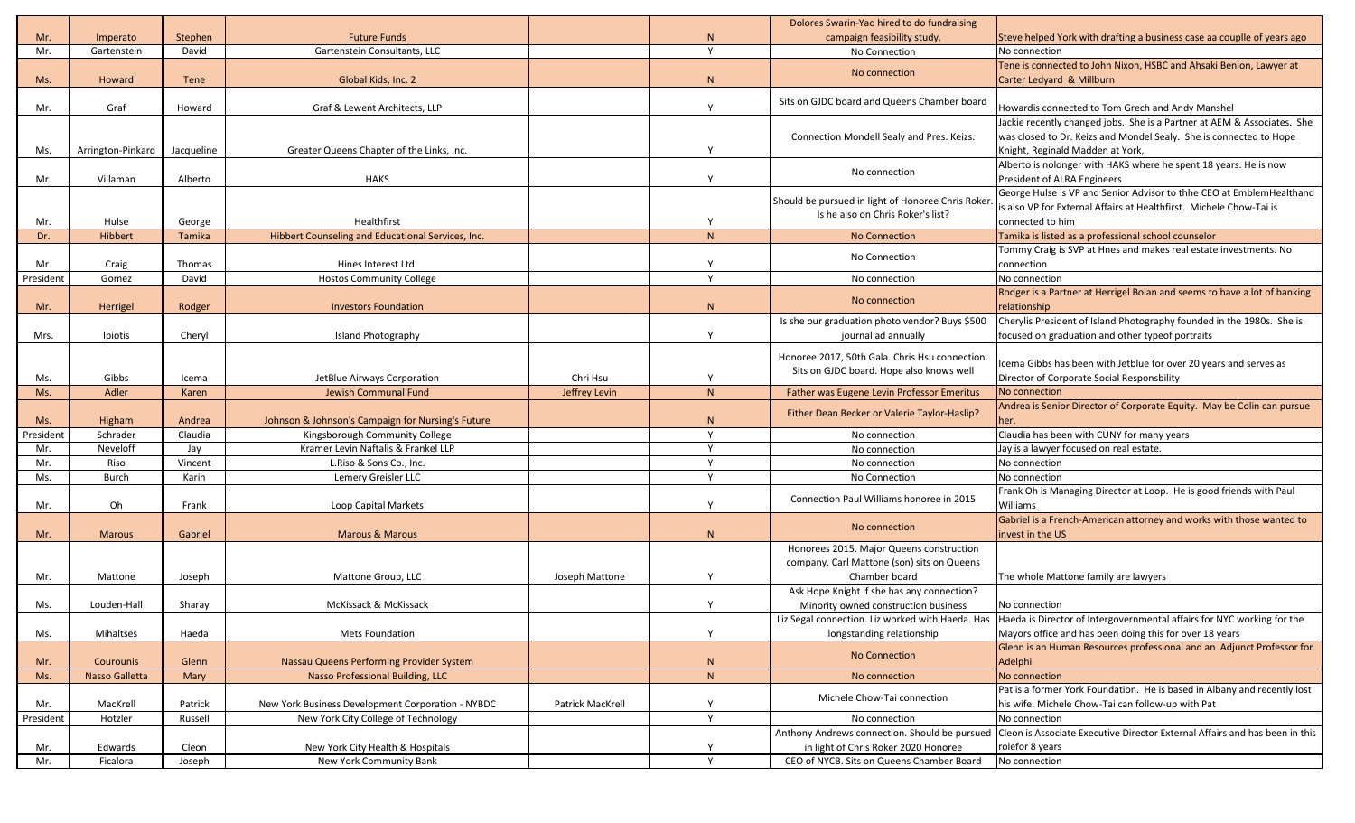|           |                   |            |                                                   |                  |                | Dolores Swarin-Yao hired to do fundraising                                              |                                                                                         |
|-----------|-------------------|------------|---------------------------------------------------|------------------|----------------|-----------------------------------------------------------------------------------------|-----------------------------------------------------------------------------------------|
| Mr.       | Imperato          | Stephen    | <b>Future Funds</b>                               |                  |                | campaign feasibility study.                                                             | Steve helped York with drafting a business case aa couplle of years ago                 |
| Mr.       | Gartenstein       | David      | Gartenstein Consultants, LLC                      |                  | $\lambda$      | No Connection                                                                           | No connection                                                                           |
|           |                   |            |                                                   |                  |                |                                                                                         | Tene is connected to John Nixon, HSBC and Ahsaki Benion, Lawyer at                      |
| Ms.       | Howard            | Tene       | Global Kids, Inc. 2                               |                  |                | No connection                                                                           | Carter Ledyard & Millburn                                                               |
| Mr.       | Graf              | Howard     | Graf & Lewent Architects, LLP                     |                  |                | Sits on GJDC board and Queens Chamber board                                             | Howardis connected to Tom Grech and Andy Manshel                                        |
|           |                   |            |                                                   |                  |                |                                                                                         | Jackie recently changed jobs. She is a Partner at AEM & Associates. She                 |
|           |                   |            |                                                   |                  |                | Connection Mondell Sealy and Pres. Keizs.                                               | was closed to Dr. Keizs and Mondel Sealy. She is connected to Hope                      |
| Ms.       | Arrington-Pinkard | Jacqueline | Greater Queens Chapter of the Links, Inc.         |                  |                |                                                                                         | Knight, Reginald Madden at York,                                                        |
|           |                   |            |                                                   |                  |                |                                                                                         | Alberto is nolonger with HAKS where he spent 18 years. He is now                        |
| Mr.       | Villaman          | Alberto    | <b>HAKS</b>                                       |                  |                | No connection                                                                           | President of ALRA Engineers                                                             |
|           |                   |            |                                                   |                  |                |                                                                                         | George Hulse is VP and Senior Advisor to thhe CEO at EmblemHealthand                    |
|           |                   |            |                                                   |                  |                | Should be pursued in light of Honoree Chris Roker.<br>Is he also on Chris Roker's list? | is also VP for External Affairs at Healthfirst. Michele Chow-Tai is                     |
| Mr.       | Hulse             | George     | Healthfirst                                       |                  |                |                                                                                         | connected to him                                                                        |
| Dr.       | Hibbert           | Tamika     | Hibbert Counseling and Educational Services, Inc. |                  | $\mathbf{M}$   | <b>No Connection</b>                                                                    | Tamika is listed as a professional school counselor                                     |
|           |                   |            |                                                   |                  |                | No Connection                                                                           | Tommy Craig is SVP at Hnes and makes real estate investments. No                        |
| Mr.       | Craig             | Thomas     | Hines Interest Ltd.                               |                  |                |                                                                                         | connection                                                                              |
| President | Gomez             | David      | <b>Hostos Community College</b>                   |                  | $\overline{v}$ | No connection                                                                           | No connection                                                                           |
|           |                   |            |                                                   |                  |                | No connection                                                                           | Rodger is a Partner at Herrigel Bolan and seems to have a lot of banking                |
| Mr.       | Herrigel          | Rodger     | <b>Investors Foundation</b>                       |                  |                |                                                                                         | relationship                                                                            |
|           |                   |            |                                                   |                  |                | Is she our graduation photo vendor? Buys \$500                                          | Cherylis President of Island Photography founded in the 1980s. She is                   |
| Mrs.      | Ipiotis           | Cheryl     | Island Photography                                |                  |                | journal ad annually                                                                     | focused on graduation and other typeof portraits                                        |
|           |                   |            |                                                   |                  |                | Honoree 2017, 50th Gala. Chris Hsu connection                                           |                                                                                         |
|           |                   |            |                                                   |                  |                | Sits on GJDC board. Hope also knows well                                                | Icema Gibbs has been with Jetblue for over 20 years and serves as                       |
| Ms.       | Gibbs             | Icema      | JetBlue Airways Corporation                       | Chri Hsu         |                |                                                                                         | Director of Corporate Social Responsbility                                              |
| Ms.       | Adler             | Karen      | <b>Jewish Communal Fund</b>                       | Jeffrey Levin    | N              | Father was Eugene Levin Professor Emeritus                                              | No connection<br>Andrea is Senior Director of Corporate Equity. May be Colin can pursue |
| Ms.       | Higham            | Andrea     | Johnson & Johnson's Campaign for Nursing's Future |                  | $\mathbf{M}$   | Either Dean Becker or Valerie Taylor-Haslip?                                            | her.                                                                                    |
| President | Schrader          | Claudia    | Kingsborough Community College                    |                  |                | No connection                                                                           | Claudia has been with CUNY for many years                                               |
| Mr.       | Neveloff          | Jay        | Kramer Levin Naftalis & Frankel LLP               |                  | $\mathbf v$    | No connection                                                                           | Jay is a lawyer focused on real estate.                                                 |
| Mr.       | Riso              | Vincent    | L.Riso & Sons Co., Inc.                           |                  |                | No connection                                                                           | No connection                                                                           |
| Ms.       | <b>Burch</b>      | Karin      | Lemery Greisler LLC                               |                  | $\mathbf{v}$   | No Connection                                                                           | No connection                                                                           |
|           |                   |            |                                                   |                  |                |                                                                                         | Frank Oh is Managing Director at Loop. He is good friends with Paul                     |
| Mr.       | Oh                | Frank      | Loop Capital Markets                              |                  |                | Connection Paul Williams honoree in 2015                                                | Williams                                                                                |
|           |                   |            |                                                   |                  |                |                                                                                         | Gabriel is a French-American attorney and works with those wanted to                    |
| Mr.       | <b>Marous</b>     | Gabriel    | <b>Marous &amp; Marous</b>                        |                  |                | No connection                                                                           | invest in the US                                                                        |
|           |                   |            |                                                   |                  |                | Honorees 2015. Major Queens construction                                                |                                                                                         |
|           |                   |            |                                                   |                  |                | company. Carl Mattone (son) sits on Queens                                              |                                                                                         |
| Mr.       | Mattone           | Joseph     | Mattone Group, LLC                                | Joseph Mattone   |                | Chamber board                                                                           | The whole Mattone family are lawyers                                                    |
|           |                   |            |                                                   |                  |                | Ask Hope Knight if she has any connection?                                              |                                                                                         |
| Ms.       | Louden-Hall       | Sharay     | McKissack & McKissack                             |                  |                | Minority owned construction business                                                    | No connection                                                                           |
|           |                   |            |                                                   |                  |                | Liz Segal connection. Liz worked with Haeda. Has                                        | Haeda is Director of Intergovernmental affairs for NYC working for the                  |
| Ms.       | Mihaltses         | Haeda      | <b>Mets Foundation</b>                            |                  |                | longstanding relationship                                                               | Mayors office and has been doing this for over 18 years                                 |
|           |                   |            |                                                   |                  |                | <b>No Connection</b>                                                                    | Glenn is an Human Resources professional and an Adjunct Professor for                   |
| Mr.       | <b>Courounis</b>  | Glenn      | Nassau Queens Performing Provider System          |                  | N              |                                                                                         | Adelphi                                                                                 |
| Ms.       | Nasso Galletta    | Mary       | <b>Nasso Professional Building, LLC</b>           |                  | N              | No connection                                                                           | No connection                                                                           |
|           |                   |            |                                                   |                  |                | Michele Chow-Tai connection                                                             | Pat is a former York Foundation. He is based in Albany and recently lost                |
| Mr.       | MacKrell          | Patrick    | New York Business Development Corporation - NYBDC | Patrick MacKrell |                |                                                                                         | his wife. Michele Chow-Tai can follow-up with Pat                                       |
| President | Hotzler           | Russell    | New York City College of Technology               |                  | $\mathbf v$    | No connection                                                                           | No connection                                                                           |
|           |                   |            |                                                   |                  |                | Anthony Andrews connection. Should be pursued                                           | Cleon is Associate Executive Director External Affairs and has been in this             |
| Mr.       | Edwards           | Cleon      | New York City Health & Hospitals                  |                  |                | in light of Chris Roker 2020 Honoree                                                    | rolefor 8 years                                                                         |
| Mr.       | Ficalora          | Joseph     | New York Community Bank                           |                  | $\mathbf{v}$   | CEO of NYCB. Sits on Queens Chamber Board                                               | No connection                                                                           |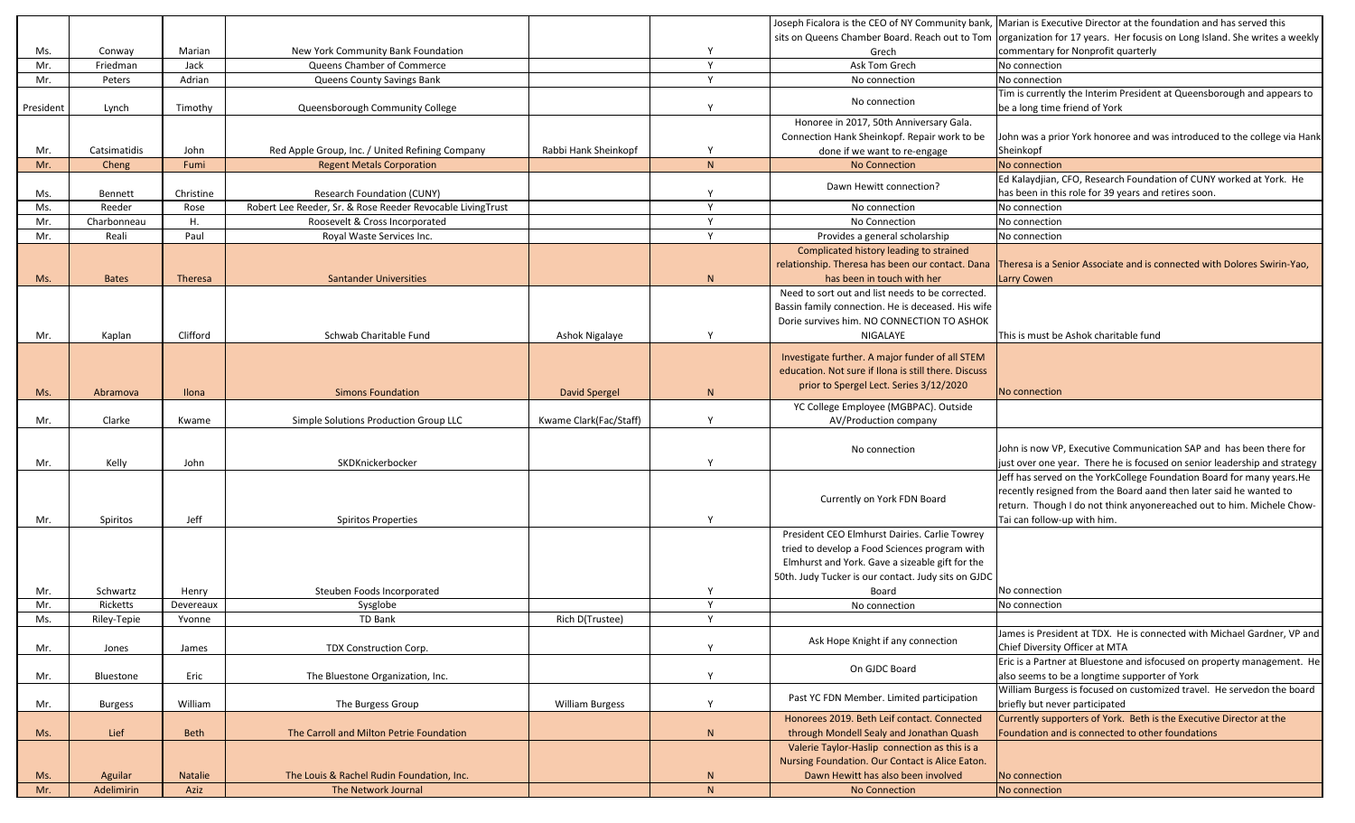|           |                |             |                                                            |                        |              |                                                      | Joseph Ficalora is the CEO of NY Community bank, Marian is Executive Director at the foundation and has served this         |
|-----------|----------------|-------------|------------------------------------------------------------|------------------------|--------------|------------------------------------------------------|-----------------------------------------------------------------------------------------------------------------------------|
|           |                |             |                                                            |                        |              |                                                      | sits on Queens Chamber Board. Reach out to Tom   organization for 17 years. Her focusis on Long Island. She writes a weekly |
| Ms.       | Conway         | Marian      | New York Community Bank Foundation                         |                        |              | Grech                                                | commentary for Nonprofit quarterly                                                                                          |
| Mr.       | Friedman       | Jack        | Queens Chamber of Commerce                                 |                        | $\mathbf v$  | Ask Tom Grech                                        | No connection                                                                                                               |
| Mr.       | Peters         | Adrian      | Queens County Savings Bank                                 |                        | $\mathbf{v}$ | No connection                                        | No connection                                                                                                               |
|           |                |             |                                                            |                        |              |                                                      | Tim is currently the Interim President at Queensborough and appears to                                                      |
| President | Lynch          | Timothy     | Queensborough Community College                            |                        |              | No connection                                        | be a long time friend of York                                                                                               |
|           |                |             |                                                            |                        |              | Honoree in 2017, 50th Anniversary Gala.              |                                                                                                                             |
|           |                |             |                                                            |                        |              | Connection Hank Sheinkopf. Repair work to be         | John was a prior York honoree and was introduced to the college via Hank                                                    |
| Mr.       | Catsimatidis   | John        | Red Apple Group, Inc. / United Refining Company            | Rabbi Hank Sheinkopf   |              | done if we want to re-engage                         | Sheinkopf                                                                                                                   |
| Mr.       | Cheng          | Fumi        | <b>Regent Metals Corporation</b>                           |                        | N            | <b>No Connection</b>                                 | No connection                                                                                                               |
|           |                |             |                                                            |                        |              |                                                      | Ed Kalaydjian, CFO, Research Foundation of CUNY worked at York. He                                                          |
| Ms.       | Bennett        | Christine   | <b>Research Foundation (CUNY)</b>                          |                        |              | Dawn Hewitt connection?                              | has been in this role for 39 years and retires soon.                                                                        |
| Ms.       | Reeder         | Rose        | Robert Lee Reeder, Sr. & Rose Reeder Revocable LivingTrust |                        | $\mathbf v$  | No connection                                        | No connection                                                                                                               |
| Mr.       | Charbonneau    | Η.          | Roosevelt & Cross Incorporated                             |                        |              | No Connection                                        | No connection                                                                                                               |
| Mr.       | Reali          | Paul        | Royal Waste Services Inc.                                  |                        | $\mathbf v$  | Provides a general scholarship                       | No connection                                                                                                               |
|           |                |             |                                                            |                        |              | Complicated history leading to strained              |                                                                                                                             |
|           |                |             |                                                            |                        |              | relationship. Theresa has been our contact. Dana     | Theresa is a Senior Associate and is connected with Dolores Swirin-Yao,                                                     |
| Ms.       | <b>Bates</b>   | Theresa     | <b>Santander Universities</b>                              |                        | $\mathsf{N}$ | has been in touch with her                           | Larry Cowen                                                                                                                 |
|           |                |             |                                                            |                        |              | Need to sort out and list needs to be corrected.     |                                                                                                                             |
|           |                |             |                                                            |                        |              | Bassin family connection. He is deceased. His wife   |                                                                                                                             |
|           |                |             |                                                            |                        |              | Dorie survives him. NO CONNECTION TO ASHOK           |                                                                                                                             |
| Mr.       | Kaplan         | Clifford    | Schwab Charitable Fund                                     | Ashok Nigalaye         |              | NIGALAYE                                             | This is must be Ashok charitable fund                                                                                       |
|           |                |             |                                                            |                        |              |                                                      |                                                                                                                             |
|           |                |             |                                                            |                        |              | Investigate further. A major funder of all STEM      |                                                                                                                             |
|           |                |             |                                                            |                        |              | education. Not sure if Ilona is still there. Discuss |                                                                                                                             |
| Ms.       | Abramova       | Ilona       | <b>Simons Foundation</b>                                   | <b>David Spergel</b>   | N            | prior to Spergel Lect. Series 3/12/2020              | No connection                                                                                                               |
|           |                |             |                                                            |                        |              | YC College Employee (MGBPAC). Outside                |                                                                                                                             |
| Mr.       | Clarke         | Kwame       | Simple Solutions Production Group LLC                      | Kwame Clark(Fac/Staff) |              | AV/Production company                                |                                                                                                                             |
|           |                |             |                                                            |                        |              |                                                      |                                                                                                                             |
|           |                |             |                                                            |                        |              | No connection                                        | John is now VP, Executive Communication SAP and has been there for                                                          |
| Mr.       | Kelly          | John        | SKDKnickerbocker                                           |                        |              |                                                      | just over one year. There he is focused on senior leadership and strategy                                                   |
|           |                |             |                                                            |                        |              |                                                      | Jeff has served on the YorkCollege Foundation Board for many years. He                                                      |
|           |                |             |                                                            |                        |              | Currently on York FDN Board                          | recently resigned from the Board aand then later said he wanted to                                                          |
|           |                |             |                                                            |                        |              |                                                      | return. Though I do not think anyonereached out to him. Michele Chow-                                                       |
| Mr.       | Spiritos       | Jeff        | <b>Spiritos Properties</b>                                 |                        |              |                                                      | Tai can follow-up with him.                                                                                                 |
|           |                |             |                                                            |                        |              | President CEO Elmhurst Dairies. Carlie Towrey        |                                                                                                                             |
|           |                |             |                                                            |                        |              | tried to develop a Food Sciences program with        |                                                                                                                             |
|           |                |             |                                                            |                        |              | Elmhurst and York. Gave a sizeable gift for the      |                                                                                                                             |
|           |                |             |                                                            |                        |              | 50th. Judy Tucker is our contact. Judy sits on GJDC  |                                                                                                                             |
| Mr.       | Schwartz       | Henry       | Steuben Foods Incorporated                                 |                        |              | Board                                                | No connection                                                                                                               |
| Mr.       | Ricketts       | Devereaux   | Sysglobe                                                   |                        | $\mathbf v$  | No connection                                        | No connection                                                                                                               |
| Ms.       | Riley-Tepie    | Yvonne      | TD Bank                                                    | Rich D(Trustee)        | $\mathbf v$  |                                                      |                                                                                                                             |
|           |                |             |                                                            |                        |              | Ask Hope Knight if any connection                    | James is President at TDX. He is connected with Michael Gardner, VP and                                                     |
| Mr.       | Jones          | James       | TDX Construction Corp.                                     |                        |              |                                                      | Chief Diversity Officer at MTA                                                                                              |
|           |                |             |                                                            |                        |              | On GJDC Board                                        | Eric is a Partner at Bluestone and isfocused on property management. He                                                     |
| Mr.       | Bluestone      | Eric        | The Bluestone Organization, Inc.                           |                        |              |                                                      | also seems to be a longtime supporter of York                                                                               |
|           |                |             |                                                            |                        |              | Past YC FDN Member. Limited participation            | William Burgess is focused on customized travel. He servedon the board                                                      |
| Mr.       | <b>Burgess</b> | William     | The Burgess Group                                          | <b>William Burgess</b> | $\vee$       |                                                      | briefly but never participated                                                                                              |
|           |                |             |                                                            |                        |              | Honorees 2019. Beth Leif contact. Connected          | Currently supporters of York. Beth is the Executive Director at the                                                         |
| Ms.       | Lief           | <b>Beth</b> | The Carroll and Milton Petrie Foundation                   |                        | N            | through Mondell Sealy and Jonathan Quash             | Foundation and is connected to other foundations                                                                            |
|           |                |             |                                                            |                        |              | Valerie Taylor-Haslip connection as this is a        |                                                                                                                             |
|           |                |             |                                                            |                        |              | Nursing Foundation. Our Contact is Alice Eaton.      |                                                                                                                             |
| Ms.       | Aguilar        | Natalie     | The Louis & Rachel Rudin Foundation, Inc.                  |                        | $\mathsf{N}$ | Dawn Hewitt has also been involved                   | No connection                                                                                                               |
| Mr.       | Adelimirin     | Aziz        | The Network Journal                                        |                        | N            | <b>No Connection</b>                                 | No connection                                                                                                               |